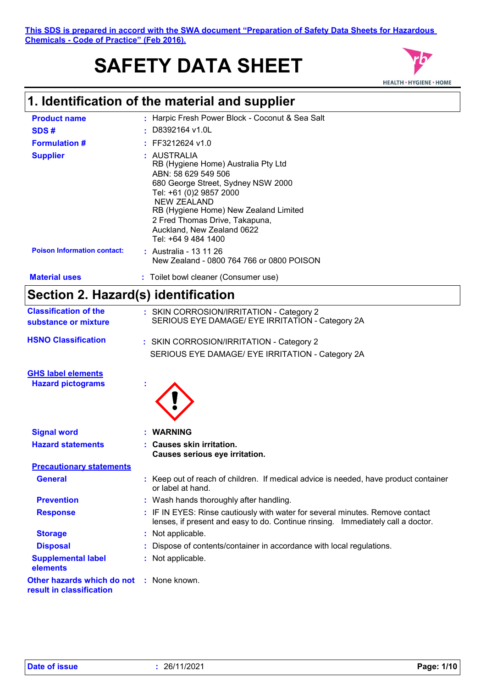# **SAFETY DATA SHEET**



# **1. Identification of the material and supplier**

| <b>Product name</b>                | : Harpic Fresh Power Block - Coconut & Sea Salt                                                                                                                                                                                                                                                  |
|------------------------------------|--------------------------------------------------------------------------------------------------------------------------------------------------------------------------------------------------------------------------------------------------------------------------------------------------|
| SDS#                               | $\pm$ D8392164 v1.0L                                                                                                                                                                                                                                                                             |
| <b>Formulation #</b>               | $:$ FF3212624 v1.0                                                                                                                                                                                                                                                                               |
| <b>Supplier</b>                    | : AUSTRALIA<br>RB (Hygiene Home) Australia Pty Ltd<br>ABN: 58 629 549 506<br>680 George Street, Sydney NSW 2000<br>Tel: +61 (0)2 9857 2000<br><b>NEW ZEALAND</b><br>RB (Hygiene Home) New Zealand Limited<br>2 Fred Thomas Drive, Takapuna,<br>Auckland, New Zealand 0622<br>Tel: +64 9 484 1400 |
| <b>Poison Information contact:</b> | <b>:</b> Australia - 13 11 26<br>New Zealand - 0800 764 766 or 0800 POISON                                                                                                                                                                                                                       |
| <b>Material uses</b>               | : Toilet bowl cleaner (Consumer use)                                                                                                                                                                                                                                                             |

# **Section 2. Hazard(s) identification**

| <b>Classification of the</b><br>substance or mixture                        | : SKIN CORROSION/IRRITATION - Category 2<br>SERIOUS EYE DAMAGE/ EYE IRRITATION - Category 2A                                                                     |
|-----------------------------------------------------------------------------|------------------------------------------------------------------------------------------------------------------------------------------------------------------|
| <b>HSNO Classification</b>                                                  | : SKIN CORROSION/IRRITATION - Category 2                                                                                                                         |
|                                                                             | SERIOUS EYE DAMAGE/ EYE IRRITATION - Category 2A                                                                                                                 |
| <b>GHS label elements</b>                                                   |                                                                                                                                                                  |
| <b>Hazard pictograms</b>                                                    |                                                                                                                                                                  |
|                                                                             |                                                                                                                                                                  |
|                                                                             |                                                                                                                                                                  |
| <b>Signal word</b>                                                          | : WARNING                                                                                                                                                        |
| <b>Hazard statements</b>                                                    | : Causes skin irritation.                                                                                                                                        |
|                                                                             | Causes serious eye irritation.                                                                                                                                   |
| <b>Precautionary statements</b>                                             |                                                                                                                                                                  |
| <b>General</b>                                                              | : Keep out of reach of children. If medical advice is needed, have product container<br>or label at hand.                                                        |
| <b>Prevention</b>                                                           | : Wash hands thoroughly after handling.                                                                                                                          |
| <b>Response</b>                                                             | : IF IN EYES: Rinse cautiously with water for several minutes. Remove contact<br>lenses, if present and easy to do. Continue rinsing. Immediately call a doctor. |
| <b>Storage</b>                                                              | : Not applicable.                                                                                                                                                |
| <b>Disposal</b>                                                             | : Dispose of contents/container in accordance with local regulations.                                                                                            |
| <b>Supplemental label</b><br>elements                                       | : Not applicable.                                                                                                                                                |
| <b>Other hazards which do not : None known.</b><br>result in classification |                                                                                                                                                                  |
|                                                                             |                                                                                                                                                                  |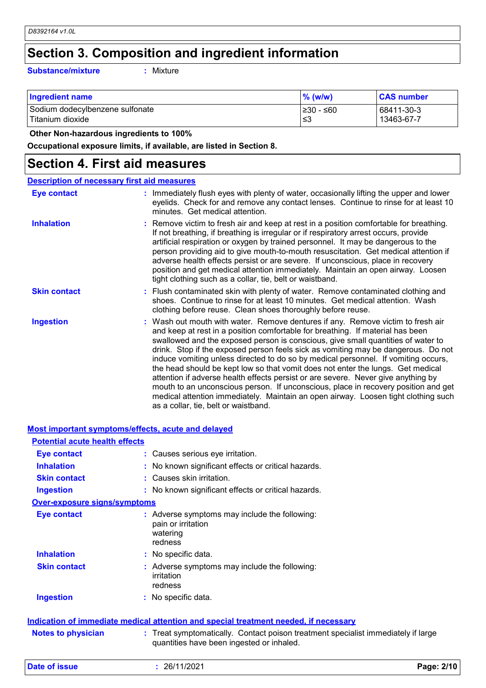# **Section 3. Composition and ingredient information**

**Substance/mixture :**

: Mixture

| <b>Ingredient name</b>          | $\%$ (w/w) | <b>CAS number</b> |
|---------------------------------|------------|-------------------|
| Sodium dodecylbenzene sulfonate | 1≥30 - ≤60 | 68411-30-3        |
| Titanium dioxide                | '≤3        | 13463-67-7        |

 **Other Non-hazardous ingredients to 100%**

**Occupational exposure limits, if available, are listed in Section 8.**

# **Section 4. First aid measures**

| <b>Description of necessary first aid measures</b> |                                                                                                                                                                                                                                                                                                                                                                                                                                                                                                                                                                                                                                                                                                                                                                                                                              |
|----------------------------------------------------|------------------------------------------------------------------------------------------------------------------------------------------------------------------------------------------------------------------------------------------------------------------------------------------------------------------------------------------------------------------------------------------------------------------------------------------------------------------------------------------------------------------------------------------------------------------------------------------------------------------------------------------------------------------------------------------------------------------------------------------------------------------------------------------------------------------------------|
| <b>Eye contact</b>                                 | : Immediately flush eyes with plenty of water, occasionally lifting the upper and lower<br>eyelids. Check for and remove any contact lenses. Continue to rinse for at least 10<br>minutes. Get medical attention.                                                                                                                                                                                                                                                                                                                                                                                                                                                                                                                                                                                                            |
| <b>Inhalation</b>                                  | : Remove victim to fresh air and keep at rest in a position comfortable for breathing.<br>If not breathing, if breathing is irregular or if respiratory arrest occurs, provide<br>artificial respiration or oxygen by trained personnel. It may be dangerous to the<br>person providing aid to give mouth-to-mouth resuscitation. Get medical attention if<br>adverse health effects persist or are severe. If unconscious, place in recovery<br>position and get medical attention immediately. Maintain an open airway. Loosen<br>tight clothing such as a collar, tie, belt or waistband.                                                                                                                                                                                                                                 |
| <b>Skin contact</b>                                | : Flush contaminated skin with plenty of water. Remove contaminated clothing and<br>shoes. Continue to rinse for at least 10 minutes. Get medical attention. Wash<br>clothing before reuse. Clean shoes thoroughly before reuse.                                                                                                                                                                                                                                                                                                                                                                                                                                                                                                                                                                                             |
| <b>Ingestion</b>                                   | : Wash out mouth with water. Remove dentures if any. Remove victim to fresh air<br>and keep at rest in a position comfortable for breathing. If material has been<br>swallowed and the exposed person is conscious, give small quantities of water to<br>drink. Stop if the exposed person feels sick as vomiting may be dangerous. Do not<br>induce vomiting unless directed to do so by medical personnel. If vomiting occurs,<br>the head should be kept low so that vomit does not enter the lungs. Get medical<br>attention if adverse health effects persist or are severe. Never give anything by<br>mouth to an unconscious person. If unconscious, place in recovery position and get<br>medical attention immediately. Maintain an open airway. Loosen tight clothing such<br>as a collar, tie, belt or waistband. |

#### **Most important symptoms/effects, acute and delayed**

| <b>Potential acute health effects</b> |                                                                                            |
|---------------------------------------|--------------------------------------------------------------------------------------------|
| Eye contact                           | : Causes serious eye irritation.                                                           |
| <b>Inhalation</b>                     | : No known significant effects or critical hazards.                                        |
| <b>Skin contact</b>                   | : Causes skin irritation.                                                                  |
| <b>Ingestion</b>                      | : No known significant effects or critical hazards.                                        |
| <b>Over-exposure signs/symptoms</b>   |                                                                                            |
| Eye contact                           | : Adverse symptoms may include the following:<br>pain or irritation<br>watering<br>redness |
| <b>Inhalation</b>                     | : No specific data.                                                                        |
| <b>Skin contact</b>                   | : Adverse symptoms may include the following:<br>irritation<br>redness                     |
| <b>Ingestion</b>                      | : No specific data.                                                                        |
|                                       | Indication of immediate medical attention and special treatment needed, if necessary       |

| <b>Notes to physician</b> | : Treat symptomatically. Contact poison treatment specialist immediately if large |
|---------------------------|-----------------------------------------------------------------------------------|
|                           | quantities have been ingested or inhaled.                                         |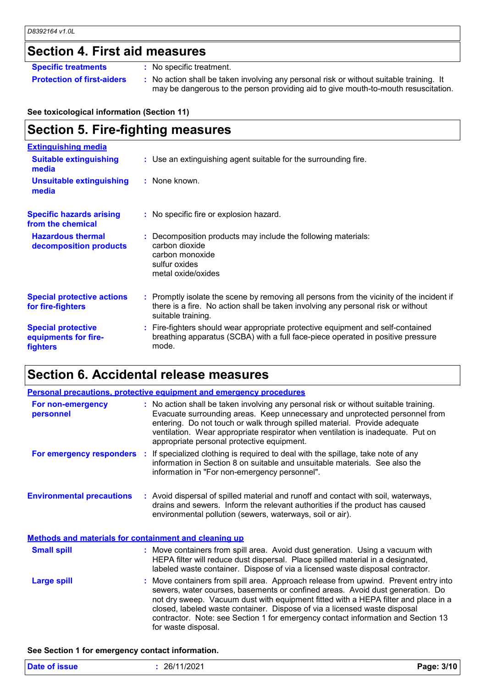# **Section 4. First aid measures**

**Specific treatments :** No specific treatment.

**Protection of first-aiders** : No action shall be taken involving any personal risk or without suitable training. It may be dangerous to the person providing aid to give mouth-to-mouth resuscitation.

**See toxicological information (Section 11)**

# **Section 5. Fire-fighting measures**

| <b>Extinguishing media</b>                                           |                                                                                                                                                                                                     |
|----------------------------------------------------------------------|-----------------------------------------------------------------------------------------------------------------------------------------------------------------------------------------------------|
| <b>Suitable extinguishing</b><br>media                               | : Use an extinguishing agent suitable for the surrounding fire.                                                                                                                                     |
| <b>Unsuitable extinguishing</b><br>media                             | : None known.                                                                                                                                                                                       |
| <b>Specific hazards arising</b><br>from the chemical                 | : No specific fire or explosion hazard.                                                                                                                                                             |
| <b>Hazardous thermal</b><br>decomposition products                   | : Decomposition products may include the following materials:<br>carbon dioxide<br>carbon monoxide<br>sulfur oxides<br>metal oxide/oxides                                                           |
| <b>Special protective actions</b><br>for fire-fighters               | : Promptly isolate the scene by removing all persons from the vicinity of the incident if<br>there is a fire. No action shall be taken involving any personal risk or without<br>suitable training. |
| <b>Special protective</b><br>equipments for fire-<br><b>fighters</b> | : Fire-fighters should wear appropriate protective equipment and self-contained<br>breathing apparatus (SCBA) with a full face-piece operated in positive pressure<br>mode.                         |

# **Section 6. Accidental release measures**

|                                                              | Personal precautions, protective equipment and emergency procedures                                                                                                                                                                                                                                                                                                                                                                                |
|--------------------------------------------------------------|----------------------------------------------------------------------------------------------------------------------------------------------------------------------------------------------------------------------------------------------------------------------------------------------------------------------------------------------------------------------------------------------------------------------------------------------------|
| For non-emergency<br>personnel                               | : No action shall be taken involving any personal risk or without suitable training.<br>Evacuate surrounding areas. Keep unnecessary and unprotected personnel from<br>entering. Do not touch or walk through spilled material. Provide adequate<br>ventilation. Wear appropriate respirator when ventilation is inadequate. Put on<br>appropriate personal protective equipment.                                                                  |
|                                                              | For emergency responders : If specialized clothing is required to deal with the spillage, take note of any<br>information in Section 8 on suitable and unsuitable materials. See also the<br>information in "For non-emergency personnel".                                                                                                                                                                                                         |
| <b>Environmental precautions</b>                             | : Avoid dispersal of spilled material and runoff and contact with soil, waterways,<br>drains and sewers. Inform the relevant authorities if the product has caused<br>environmental pollution (sewers, waterways, soil or air).                                                                                                                                                                                                                    |
| <b>Methods and materials for containment and cleaning up</b> |                                                                                                                                                                                                                                                                                                                                                                                                                                                    |
| <b>Small spill</b>                                           | : Move containers from spill area. Avoid dust generation. Using a vacuum with<br>HEPA filter will reduce dust dispersal. Place spilled material in a designated,<br>labeled waste container. Dispose of via a licensed waste disposal contractor.                                                                                                                                                                                                  |
| <b>Large spill</b>                                           | : Move containers from spill area. Approach release from upwind. Prevent entry into<br>sewers, water courses, basements or confined areas. Avoid dust generation. Do<br>not dry sweep. Vacuum dust with equipment fitted with a HEPA filter and place in a<br>closed, labeled waste container. Dispose of via a licensed waste disposal<br>contractor. Note: see Section 1 for emergency contact information and Section 13<br>for waste disposal. |

#### **See Section 1 for emergency contact information.**

| <b>Date of issue</b> | 26/11/2021 | Page: 3/10 |
|----------------------|------------|------------|
|                      |            |            |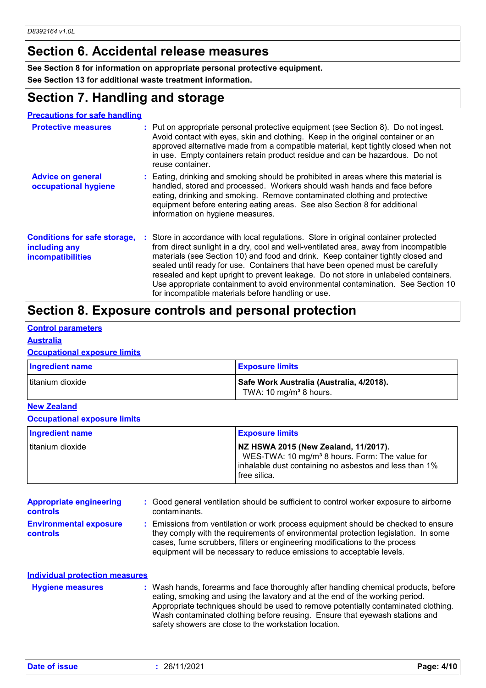# **Section 6. Accidental release measures**

**See Section 8 for information on appropriate personal protective equipment.**

**See Section 13 for additional waste treatment information.**

# **Section 7. Handling and storage**

| <b>Precautions for safe handling</b>            |  |                 |
|-------------------------------------------------|--|-----------------|
| The contract of the contract of the contract of |  | <b>D.</b> L. L. |

| <b>Protective measures</b>                                                       | : Put on appropriate personal protective equipment (see Section 8). Do not ingest.<br>Avoid contact with eyes, skin and clothing. Keep in the original container or an<br>approved alternative made from a compatible material, kept tightly closed when not<br>in use. Empty containers retain product residue and can be hazardous. Do not<br>reuse container.                                                                                                                                                                                                                   |
|----------------------------------------------------------------------------------|------------------------------------------------------------------------------------------------------------------------------------------------------------------------------------------------------------------------------------------------------------------------------------------------------------------------------------------------------------------------------------------------------------------------------------------------------------------------------------------------------------------------------------------------------------------------------------|
| <b>Advice on general</b><br>occupational hygiene                                 | : Eating, drinking and smoking should be prohibited in areas where this material is<br>handled, stored and processed. Workers should wash hands and face before<br>eating, drinking and smoking. Remove contaminated clothing and protective<br>equipment before entering eating areas. See also Section 8 for additional<br>information on hygiene measures.                                                                                                                                                                                                                      |
| <b>Conditions for safe storage,</b><br>including any<br><b>incompatibilities</b> | : Store in accordance with local regulations. Store in original container protected<br>from direct sunlight in a dry, cool and well-ventilated area, away from incompatible<br>materials (see Section 10) and food and drink. Keep container tightly closed and<br>sealed until ready for use. Containers that have been opened must be carefully<br>resealed and kept upright to prevent leakage. Do not store in unlabeled containers.<br>Use appropriate containment to avoid environmental contamination. See Section 10<br>for incompatible materials before handling or use. |

# **Section 8. Exposure controls and personal protection**

#### **Control parameters**

#### **Australia**

#### **Occupational exposure limits**

| <b>Ingredient name</b> | <b>Exposure limits</b>                                                         |
|------------------------|--------------------------------------------------------------------------------|
| I titanium dioxide     | Safe Work Australia (Australia, 4/2018).<br>TWA: 10 mg/m <sup>3</sup> 8 hours. |

#### **New Zealand**

#### **Occupational exposure limits**

| <b>Ingredient name</b> | <b>Exposure limits</b>                                                                                                                                                         |
|------------------------|--------------------------------------------------------------------------------------------------------------------------------------------------------------------------------|
| I titanium dioxide     | NZ HSWA 2015 (New Zealand, 11/2017).<br>WES-TWA: 10 mg/m <sup>3</sup> 8 hours. Form: The value for<br>inhalable dust containing no asbestos and less than 1%<br>l free silica. |

| <b>Appropriate engineering</b>                   | : Good general ventilation should be sufficient to control worker exposure to airborne                                                                                                                                                                                                                                          |
|--------------------------------------------------|---------------------------------------------------------------------------------------------------------------------------------------------------------------------------------------------------------------------------------------------------------------------------------------------------------------------------------|
| <b>controls</b>                                  | contaminants.                                                                                                                                                                                                                                                                                                                   |
| <b>Environmental exposure</b><br><b>controls</b> | : Emissions from ventilation or work process equipment should be checked to ensure<br>they comply with the requirements of environmental protection legislation. In some<br>cases, fume scrubbers, filters or engineering modifications to the process<br>equipment will be necessary to reduce emissions to acceptable levels. |

| <b>Individual protection measures</b> |                                                                                                                                                                                                                                                                                                                                                                                                   |
|---------------------------------------|---------------------------------------------------------------------------------------------------------------------------------------------------------------------------------------------------------------------------------------------------------------------------------------------------------------------------------------------------------------------------------------------------|
| <b>Hygiene measures</b>               | : Wash hands, forearms and face thoroughly after handling chemical products, before<br>eating, smoking and using the lavatory and at the end of the working period.<br>Appropriate techniques should be used to remove potentially contaminated clothing.<br>Wash contaminated clothing before reusing. Ensure that eyewash stations and<br>safety showers are close to the workstation location. |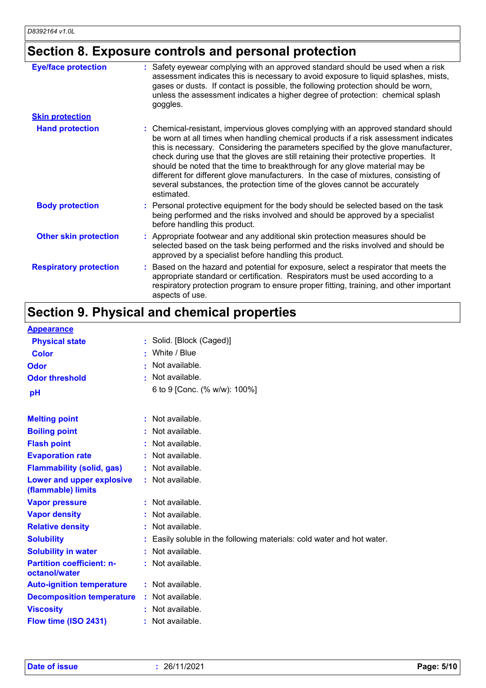# **Section 8. Exposure controls and personal protection**

| <b>Eye/face protection</b>    | : Safety eyewear complying with an approved standard should be used when a risk<br>assessment indicates this is necessary to avoid exposure to liquid splashes, mists,<br>gases or dusts. If contact is possible, the following protection should be worn,<br>unless the assessment indicates a higher degree of protection: chemical splash<br>goggles.                                                                                                                                                                                                                                                                  |
|-------------------------------|---------------------------------------------------------------------------------------------------------------------------------------------------------------------------------------------------------------------------------------------------------------------------------------------------------------------------------------------------------------------------------------------------------------------------------------------------------------------------------------------------------------------------------------------------------------------------------------------------------------------------|
| <b>Skin protection</b>        |                                                                                                                                                                                                                                                                                                                                                                                                                                                                                                                                                                                                                           |
| <b>Hand protection</b>        | : Chemical-resistant, impervious gloves complying with an approved standard should<br>be worn at all times when handling chemical products if a risk assessment indicates<br>this is necessary. Considering the parameters specified by the glove manufacturer,<br>check during use that the gloves are still retaining their protective properties. It<br>should be noted that the time to breakthrough for any glove material may be<br>different for different glove manufacturers. In the case of mixtures, consisting of<br>several substances, the protection time of the gloves cannot be accurately<br>estimated. |
| <b>Body protection</b>        | : Personal protective equipment for the body should be selected based on the task<br>being performed and the risks involved and should be approved by a specialist<br>before handling this product.                                                                                                                                                                                                                                                                                                                                                                                                                       |
| <b>Other skin protection</b>  | : Appropriate footwear and any additional skin protection measures should be<br>selected based on the task being performed and the risks involved and should be<br>approved by a specialist before handling this product.                                                                                                                                                                                                                                                                                                                                                                                                 |
| <b>Respiratory protection</b> | : Based on the hazard and potential for exposure, select a respirator that meets the<br>appropriate standard or certification. Respirators must be used according to a<br>respiratory protection program to ensure proper fitting, training, and other important<br>aspects of use.                                                                                                                                                                                                                                                                                                                                       |

# **Section 9. Physical and chemical properties**

| <b>Appearance</b>                                 |                                                                        |
|---------------------------------------------------|------------------------------------------------------------------------|
| <b>Physical state</b>                             | : Solid. [Block (Caged)]                                               |
| <b>Color</b>                                      | : White / Blue                                                         |
| <b>Odor</b>                                       | Not available.                                                         |
| <b>Odor threshold</b>                             | : Not available.                                                       |
| pH                                                | 6 to 9 [Conc. (% w/w): 100%]                                           |
| <b>Melting point</b>                              | $:$ Not available.                                                     |
| <b>Boiling point</b>                              | : Not available.                                                       |
| <b>Flash point</b>                                | $:$ Not available.                                                     |
| <b>Evaporation rate</b>                           | : Not available.                                                       |
| <b>Flammability (solid, gas)</b>                  | : Not available.                                                       |
| Lower and upper explosive<br>(flammable) limits   | : Not available.                                                       |
| <b>Vapor pressure</b>                             | : Not available.                                                       |
| <b>Vapor density</b>                              | : Not available.                                                       |
| <b>Relative density</b>                           | : Not available.                                                       |
| <b>Solubility</b>                                 | : Easily soluble in the following materials: cold water and hot water. |
| <b>Solubility in water</b>                        | : Not available.                                                       |
| <b>Partition coefficient: n-</b><br>octanol/water | : Not available.                                                       |
| <b>Auto-ignition temperature</b>                  | : Not available.                                                       |
| <b>Decomposition temperature</b>                  | $:$ Not available.                                                     |
| <b>Viscosity</b>                                  | : Not available.                                                       |
| Flow time (ISO 2431)                              | : Not available.                                                       |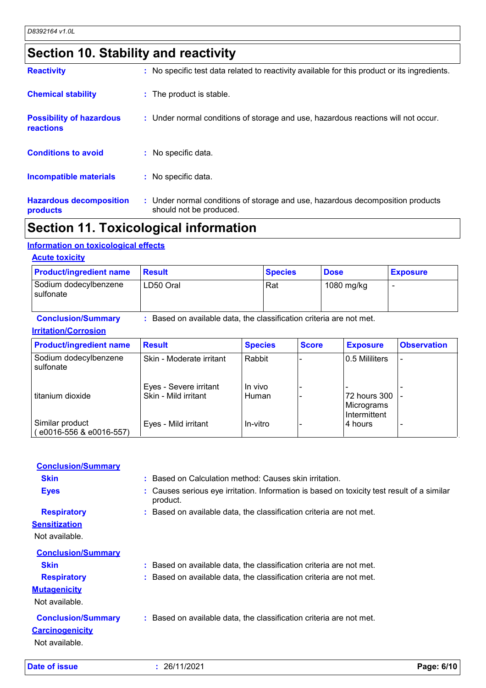# **Section 10. Stability and reactivity**

| <b>Reactivity</b><br><b>Chemical stability</b> | : No specific test data related to reactivity available for this product or its ingredients.<br>: The product is stable. |
|------------------------------------------------|--------------------------------------------------------------------------------------------------------------------------|
| <b>Possibility of hazardous</b>                | : Under normal conditions of storage and use, hazardous reactions will not occur.                                        |
| reactions                                      |                                                                                                                          |
| <b>Conditions to avoid</b>                     | : No specific data.                                                                                                      |
| <b>Incompatible materials</b>                  | : No specific data.                                                                                                      |
| <b>Hazardous decomposition</b><br>products     | : Under normal conditions of storage and use, hazardous decomposition products<br>should not be produced.                |

# **Section 11. Toxicological information**

#### **Information on toxicological effects**

#### **Acute toxicity**

| <b>Product/ingredient name</b>     | <b>∣Result</b> | <b>Species</b> | <b>Dose</b> | <b>Exposure</b> |
|------------------------------------|----------------|----------------|-------------|-----------------|
| Sodium dodecylbenzene<br>sulfonate | LD50 Oral      | Rat            | 1080 mg/kg  |                 |

#### **Conclusion/Summary :** Based on available data, the classification criteria are not met. **Irritation/Corrosion**

| <b>Product/ingredient name</b>                | <b>Result</b>                                  | <b>Species</b>   | <b>Score</b> | <b>Exposure</b>                            | <b>Observation</b> |
|-----------------------------------------------|------------------------------------------------|------------------|--------------|--------------------------------------------|--------------------|
| Sodium dodecylbenzene<br>sulfonate            | Skin - Moderate irritant                       | Rabbit           |              | 0.5 Mililiters                             |                    |
| I titanium dioxide                            | Eyes - Severe irritant<br>Skin - Mild irritant | In vivo<br>Human |              | 72 hours 300<br>Micrograms<br>Intermittent |                    |
| Similar product<br>$(c_{0016-556$ & e0016-557 | Eyes - Mild irritant                           | In-vitro         |              | l4 hours                                   |                    |

| Date of issue                                                         | : 26/11/2021                                                                                         | Page: 6/10 |
|-----------------------------------------------------------------------|------------------------------------------------------------------------------------------------------|------------|
| <b>Conclusion/Summary</b><br><b>Carcinogenicity</b><br>Not available. | : Based on available data, the classification criteria are not met.                                  |            |
| <b>Mutagenicity</b><br>Not available.                                 |                                                                                                      |            |
| <b>Respiratory</b>                                                    | : Based on available data, the classification criteria are not met.                                  |            |
| <b>Skin</b>                                                           | : Based on available data, the classification criteria are not met.                                  |            |
| <b>Conclusion/Summary</b>                                             |                                                                                                      |            |
| Not available.                                                        |                                                                                                      |            |
| <b>Sensitization</b>                                                  |                                                                                                      |            |
| <b>Respiratory</b>                                                    | : Based on available data, the classification criteria are not met.                                  |            |
| <b>Eyes</b>                                                           | Causes serious eye irritation. Information is based on toxicity test result of a similar<br>product. |            |
| <b>Skin</b>                                                           | : Based on Calculation method: Causes skin irritation.                                               |            |
| <b>Conclusion/Summary</b>                                             |                                                                                                      |            |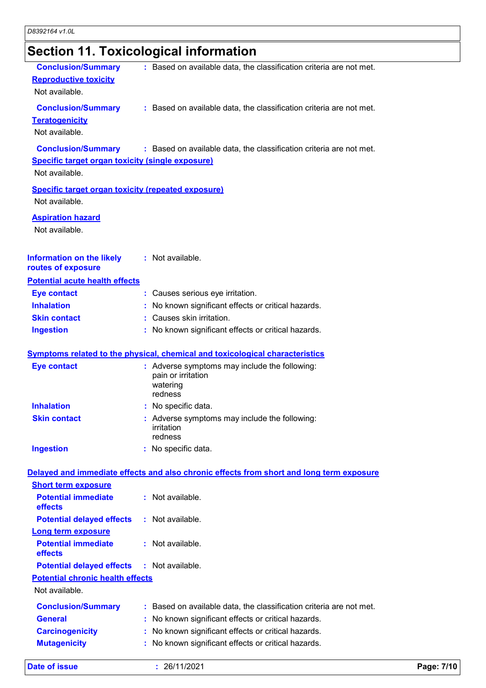# **Section 11. Toxicological information**

| <b>Conclusion/Summary</b>                                                   | : Based on available data, the classification criteria are not met.                      |            |
|-----------------------------------------------------------------------------|------------------------------------------------------------------------------------------|------------|
| <b>Reproductive toxicity</b>                                                |                                                                                          |            |
| Not available.                                                              |                                                                                          |            |
| <b>Conclusion/Summary</b>                                                   | : Based on available data, the classification criteria are not met.                      |            |
| <b>Teratogenicity</b>                                                       |                                                                                          |            |
| Not available.                                                              |                                                                                          |            |
| <b>Conclusion/Summary</b>                                                   | : Based on available data, the classification criteria are not met.                      |            |
| <b>Specific target organ toxicity (single exposure)</b>                     |                                                                                          |            |
| Not available.                                                              |                                                                                          |            |
|                                                                             |                                                                                          |            |
| <b>Specific target organ toxicity (repeated exposure)</b><br>Not available. |                                                                                          |            |
|                                                                             |                                                                                          |            |
| <b>Aspiration hazard</b>                                                    |                                                                                          |            |
| Not available.                                                              |                                                                                          |            |
|                                                                             |                                                                                          |            |
| <b>Information on the likely</b>                                            | : Not available.                                                                         |            |
| routes of exposure                                                          |                                                                                          |            |
| <b>Potential acute health effects</b>                                       |                                                                                          |            |
| <b>Eye contact</b>                                                          | : Causes serious eye irritation.                                                         |            |
| <b>Inhalation</b>                                                           | No known significant effects or critical hazards.                                        |            |
| <b>Skin contact</b>                                                         | : Causes skin irritation.                                                                |            |
| <b>Ingestion</b>                                                            | : No known significant effects or critical hazards.                                      |            |
|                                                                             | <b>Symptoms related to the physical, chemical and toxicological characteristics</b>      |            |
| <b>Eye contact</b>                                                          | : Adverse symptoms may include the following:                                            |            |
|                                                                             | pain or irritation                                                                       |            |
|                                                                             | watering                                                                                 |            |
| <b>Inhalation</b>                                                           | redness<br>No specific data.                                                             |            |
| <b>Skin contact</b>                                                         | : Adverse symptoms may include the following:                                            |            |
|                                                                             | <b>irritation</b>                                                                        |            |
|                                                                             | redness                                                                                  |            |
| <b>Ingestion</b>                                                            | : No specific data.                                                                      |            |
|                                                                             |                                                                                          |            |
| <b>Short term exposure</b>                                                  | Delayed and immediate effects and also chronic effects from short and long term exposure |            |
| <b>Potential immediate</b>                                                  | : Not available.                                                                         |            |
| effects                                                                     |                                                                                          |            |
| <b>Potential delayed effects</b>                                            | : Not available.                                                                         |            |
| <b>Long term exposure</b>                                                   |                                                                                          |            |
| <b>Potential immediate</b>                                                  | : Not available.                                                                         |            |
| effects                                                                     |                                                                                          |            |
| <b>Potential delayed effects</b>                                            | $:$ Not available.                                                                       |            |
| <b>Potential chronic health effects</b>                                     |                                                                                          |            |
| Not available.                                                              |                                                                                          |            |
| <b>Conclusion/Summary</b>                                                   | : Based on available data, the classification criteria are not met.                      |            |
| <b>General</b>                                                              | No known significant effects or critical hazards.                                        |            |
| <b>Carcinogenicity</b>                                                      | No known significant effects or critical hazards.                                        |            |
| <b>Mutagenicity</b>                                                         | No known significant effects or critical hazards.                                        |            |
|                                                                             |                                                                                          |            |
| <b>Date of issue</b>                                                        | : 26/11/2021                                                                             | Page: 7/10 |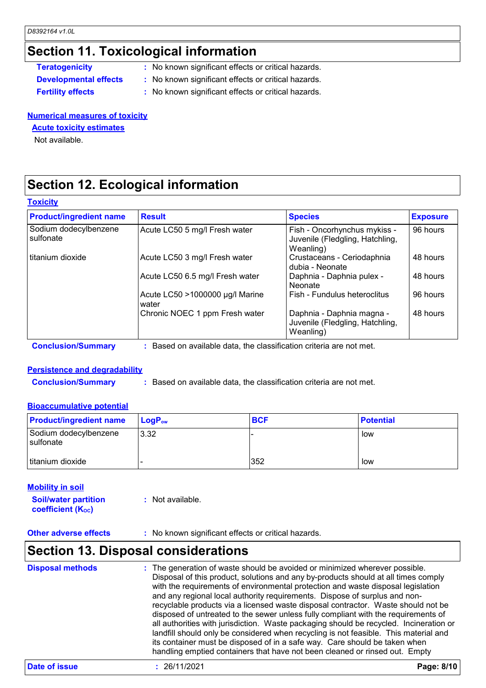# **Section 11. Toxicological information**

- **Teratogenicity** : No known significant effects or critical hazards.
- **Developmental effects :** No known significant effects or critical hazards.
- 
- **Fertility effects :** No known significant effects or critical hazards.

#### **Numerical measures of toxicity**

#### **Acute toxicity estimates**

Not available.

# **Section 12. Ecological information**

#### **Toxicity**

| <b>Product/ingredient name</b>     | <b>Result</b>                            | <b>Species</b>                                                               | <b>Exposure</b> |
|------------------------------------|------------------------------------------|------------------------------------------------------------------------------|-----------------|
| Sodium dodecylbenzene<br>sulfonate | Acute LC50 5 mg/l Fresh water            | Fish - Oncorhynchus mykiss -<br>Juvenile (Fledgling, Hatchling,<br>Weanling) | 96 hours        |
| l titanium dioxide                 | Acute LC50 3 mg/l Fresh water            | Crustaceans - Ceriodaphnia<br>dubia - Neonate                                | 48 hours        |
|                                    | Acute LC50 6.5 mg/l Fresh water          | Daphnia - Daphnia pulex -<br><b>Neonate</b>                                  | 48 hours        |
|                                    | Acute LC50 >1000000 µg/l Marine<br>water | Fish - Fundulus heteroclitus                                                 | 96 hours        |
|                                    | Chronic NOEC 1 ppm Fresh water           | Daphnia - Daphnia magna -<br>Juvenile (Fledgling, Hatchling,<br>Weanling)    | 48 hours        |

**Conclusion/Summary :** Based on available data, the classification criteria are not met.

#### **Persistence and degradability**

**Conclusion/Summary :** Based on available data, the classification criteria are not met.

#### **Bioaccumulative potential**

| <b>Product/ingredient name</b>       | <b>LogP</b> <sub>ow</sub> | <b>BCF</b> | <b>Potential</b> |
|--------------------------------------|---------------------------|------------|------------------|
| Sodium dodecylbenzene<br>l sulfonate | 3.32                      |            | low              |
| titanium dioxide                     |                           | 352        | low              |

#### **Mobility in soil**

**Soil/water partition coefficient (KOC) :** Not available.

**Other adverse effects** : No known significant effects or critical hazards.

# **Section 13. Disposal considerations**

| <b>Disposal methods</b> | : The generation of waste should be avoided or minimized wherever possible.<br>Disposal of this product, solutions and any by-products should at all times comply<br>with the requirements of environmental protection and waste disposal legislation<br>and any regional local authority requirements. Dispose of surplus and non-<br>recyclable products via a licensed waste disposal contractor. Waste should not be<br>disposed of untreated to the sewer unless fully compliant with the requirements of<br>all authorities with jurisdiction. Waste packaging should be recycled. Incineration or<br>landfill should only be considered when recycling is not feasible. This material and<br>its container must be disposed of in a safe way. Care should be taken when<br>handling emptied containers that have not been cleaned or rinsed out. Empty |
|-------------------------|---------------------------------------------------------------------------------------------------------------------------------------------------------------------------------------------------------------------------------------------------------------------------------------------------------------------------------------------------------------------------------------------------------------------------------------------------------------------------------------------------------------------------------------------------------------------------------------------------------------------------------------------------------------------------------------------------------------------------------------------------------------------------------------------------------------------------------------------------------------|
|-------------------------|---------------------------------------------------------------------------------------------------------------------------------------------------------------------------------------------------------------------------------------------------------------------------------------------------------------------------------------------------------------------------------------------------------------------------------------------------------------------------------------------------------------------------------------------------------------------------------------------------------------------------------------------------------------------------------------------------------------------------------------------------------------------------------------------------------------------------------------------------------------|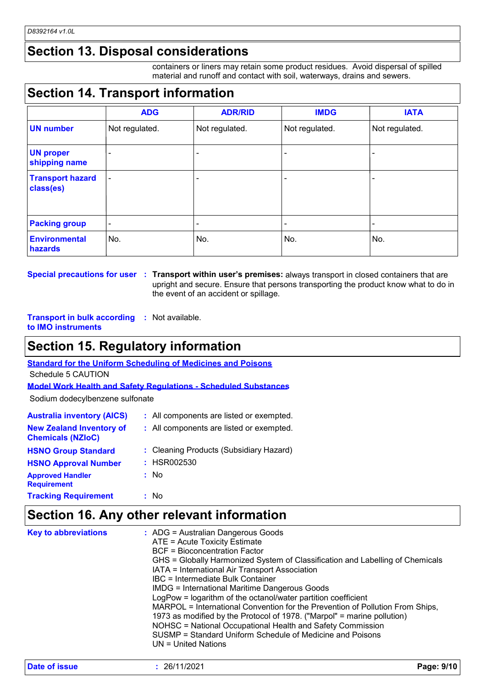### **Section 13. Disposal considerations**

containers or liners may retain some product residues. Avoid dispersal of spilled material and runoff and contact with soil, waterways, drains and sewers.

# **Section 14. Transport information**

|                                      | <b>ADG</b>               | <b>ADR/RID</b> | <b>IMDG</b>    | <b>IATA</b>              |
|--------------------------------------|--------------------------|----------------|----------------|--------------------------|
| <b>UN number</b>                     | Not regulated.           | Not regulated. | Not regulated. | Not regulated.           |
| <b>UN proper</b><br>shipping name    |                          |                |                |                          |
| <b>Transport hazard</b><br>class(es) | $\overline{\phantom{a}}$ |                |                | $\overline{\phantom{0}}$ |
| <b>Packing group</b>                 |                          | ٠              |                | $\overline{\phantom{0}}$ |
| <b>Environmental</b><br>hazards      | No.                      | No.            | No.            | No.                      |

**Special precautions for user Transport within user's premises:** always transport in closed containers that are **:** upright and secure. Ensure that persons transporting the product know what to do in the event of an accident or spillage.

**Transport in bulk according :** Not available. **to IMO instruments**

# **Section 15. Regulatory information**

**Standard for the Uniform Scheduling of Medicines and Poisons**

Schedule 5 CAUTION

**Model Work Health and Safety Regulations - Scheduled Substances**

Sodium dodecylbenzene sulfonate

| <b>Australia inventory (AICS)</b>                           | : All components are listed or exempted. |
|-------------------------------------------------------------|------------------------------------------|
| <b>New Zealand Inventory of</b><br><b>Chemicals (NZIoC)</b> | : All components are listed or exempted. |
| <b>HSNO Group Standard</b>                                  | : Cleaning Products (Subsidiary Hazard)  |
| <b>HSNO Approval Number</b>                                 | : HSR002530                              |
| <b>Approved Handler</b><br><b>Requirement</b>               | : No                                     |
| <b>Tracking Requirement</b>                                 | : No                                     |

### **Section 16. Any other relevant information**

| <b>Key to abbreviations</b> | $:$ ADG = Australian Dangerous Goods<br>ATE = Acute Toxicity Estimate<br><b>BCF</b> = Bioconcentration Factor<br>GHS = Globally Harmonized System of Classification and Labelling of Chemicals<br>IATA = International Air Transport Association<br>IBC = Intermediate Bulk Container<br><b>IMDG = International Maritime Dangerous Goods</b><br>LogPow = logarithm of the octanol/water partition coefficient<br>MARPOL = International Convention for the Prevention of Pollution From Ships,<br>1973 as modified by the Protocol of 1978. ("Marpol" = marine pollution)<br>NOHSC = National Occupational Health and Safety Commission<br>SUSMP = Standard Uniform Schedule of Medicine and Poisons<br>$UN = United Nations$ |  |
|-----------------------------|--------------------------------------------------------------------------------------------------------------------------------------------------------------------------------------------------------------------------------------------------------------------------------------------------------------------------------------------------------------------------------------------------------------------------------------------------------------------------------------------------------------------------------------------------------------------------------------------------------------------------------------------------------------------------------------------------------------------------------|--|
|                             |                                                                                                                                                                                                                                                                                                                                                                                                                                                                                                                                                                                                                                                                                                                                |  |